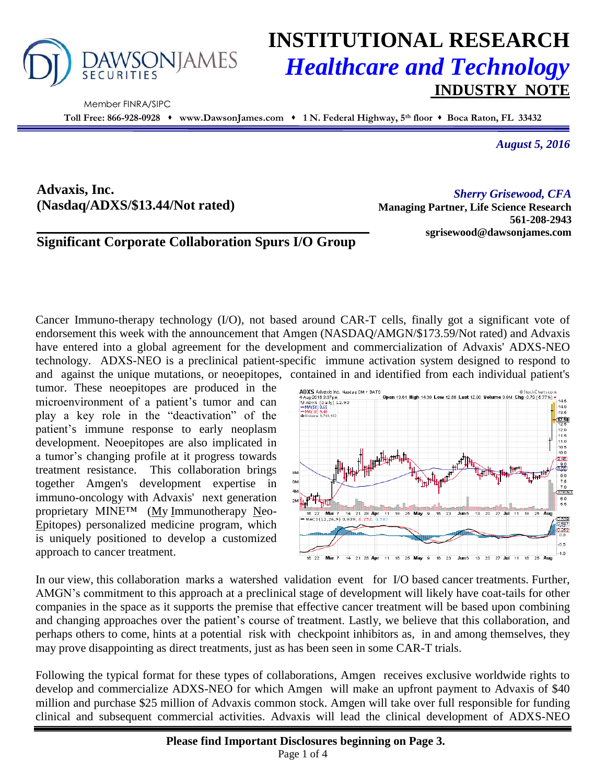

Member FINRA/SIPC

# **INSTITUTIONAL RESEARCH** *Healthcare and Technology* **INDUSTRY NOTE**

**Toll Free: 866-928-0928 www.DawsonJames.com 1 N. Federal Highway, 5th floor Boca Raton, FL 33432**

*August 5, 2016*

**Advaxis, Inc. (Nasdaq/ADXS/\$13.44/Not rated)**

*Sherry Grisewood, CFA* **Managing Partner, Life Science Research 561-208-2943 sgrisewood@dawsonjames.com**

### **Significant Corporate Collaboration Spurs I/O Group**

Cancer Immuno-therapy technology (I/O), not based around CAR-T cells, finally got a significant vote of endorsement this week with the announcement that Amgen (NASDAQ/AMGN/\$173.59/Not rated) and Advaxis have entered into a global agreement for the development and commercialization of Advaxis' ADXS-NEO technology. ADXS-NEO is a preclinical patient-specific immune activation system designed to respond to and against the unique mutations, or neoepitopes, contained in and identified from each individual patient's

tumor. These neoepitopes are produced in the microenvironment of a patient's tumor and can play a key role in the "deactivation" of the patient's immune response to early neoplasm development. Neoepitopes are also implicated in a tumor's changing profile at it progress towards treatment resistance. This collaboration brings together Amgen's development expertise in immuno-oncology with Advaxis' next generation proprietary MINE™ (My Immunotherapy Neo-Epitopes) personalized medicine program, which is uniquely positioned to develop a customized approach to cancer treatment.



In our view, this collaboration marks a watershed validation event for I/O based cancer treatments. Further, AMGN's commitment to this approach at a preclinical stage of development will likely have coat-tails for other companies in the space as it supports the premise that effective cancer treatment will be based upon combining and changing approaches over the patient's course of treatment. Lastly, we believe that this collaboration, and perhaps others to come, hints at a potential risk with checkpoint inhibitors as, in and among themselves, they may prove disappointing as direct treatments, just as has been seen in some CAR-T trials.

Following the typical format for these types of collaborations, Amgen receives exclusive worldwide rights to develop and commercialize ADXS-NEO for which Amgen will make an upfront payment to Advaxis of \$40 million and purchase \$25 million of Advaxis common stock. Amgen will take over full responsible for funding clinical and subsequent commercial activities. Advaxis will lead the clinical development of ADXS-NEO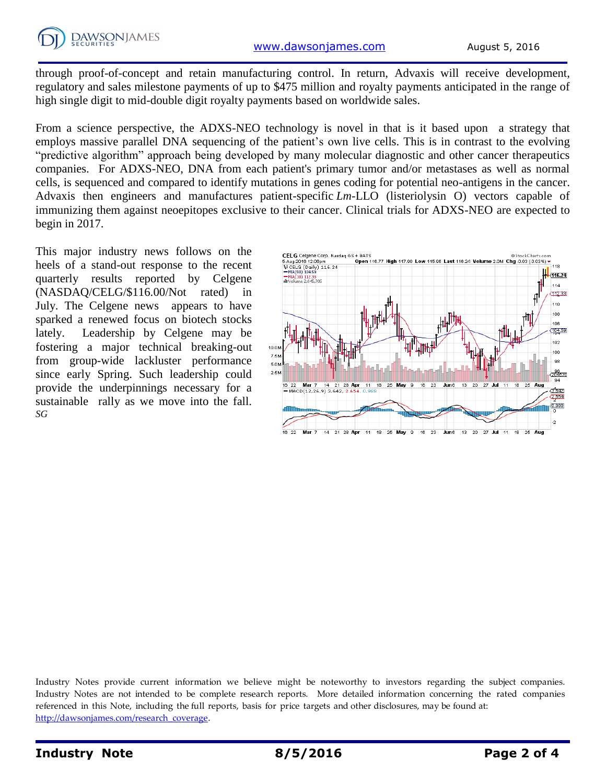through proof-of-concept and retain manufacturing control. In return, Advaxis will receive development, regulatory and sales milestone payments of up to \$475 million and royalty payments anticipated in the range of high single digit to mid-double digit royalty payments based on worldwide sales.

From a science perspective, the ADXS-NEO technology is novel in that is it based upon a strategy that employs massive parallel DNA sequencing of the patient's own live cells. This is in contrast to the evolving "predictive algorithm" approach being developed by many molecular diagnostic and other cancer therapeutics companies. For ADXS-NEO, DNA from each patient's primary tumor and/or metastases as well as normal cells, is sequenced and compared to identify mutations in genes coding for potential neo-antigens in the cancer. Advaxis then engineers and manufactures patient-specific *Lm*-LLO (listeriolysin O) vectors capable of immunizing them against neoepitopes exclusive to their cancer. Clinical trials for ADXS-NEO are expected to begin in 2017.

This major industry news follows on the heels of a stand-out response to the recent quarterly results reported by Celgene (NASDAQ/CELG/\$116.00/Not rated) in July. The Celgene news appears to have sparked a renewed focus on biotech stocks lately. Leadership by Celgene may be fostering a major technical breaking-out from group-wide lackluster performance since early Spring. Such leadership could provide the underpinnings necessary for a sustainable rally as we move into the fall. *SG*



Industry Notes provide current information we believe might be noteworthy to investors regarding the subject companies. Industry Notes are not intended to be complete research reports. More detailed information concerning the rated companies referenced in this Note, including the full reports, basis for price targets and other disclosures, may be found at: [http://dawsonjames.com/research\\_coverage.](http://dawsonjames.com/research_coverage)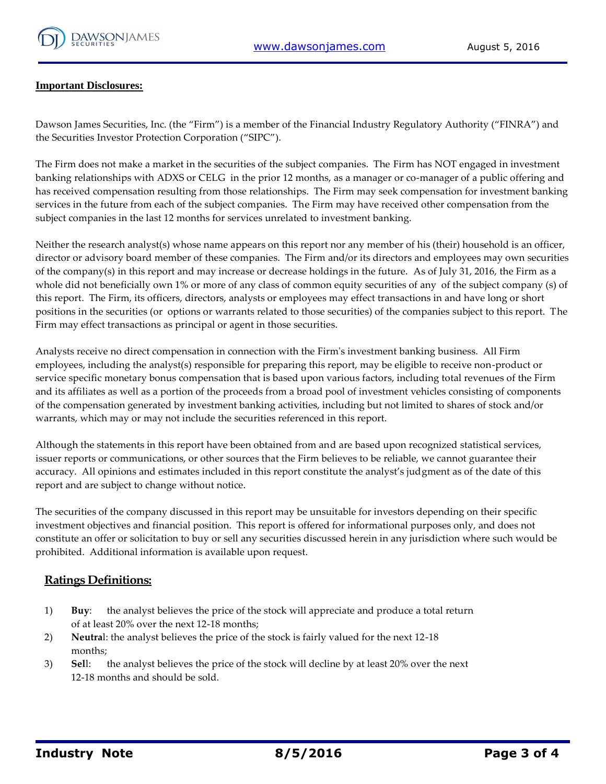

#### **Important Disclosures:**

Dawson James Securities, Inc. (the "Firm") is a member of the Financial Industry Regulatory Authority ("FINRA") and the Securities Investor Protection Corporation ("SIPC").

The Firm does not make a market in the securities of the subject companies. The Firm has NOT engaged in investment banking relationships with ADXS or CELG in the prior 12 months, as a manager or co-manager of a public offering and has received compensation resulting from those relationships. The Firm may seek compensation for investment banking services in the future from each of the subject companies. The Firm may have received other compensation from the subject companies in the last 12 months for services unrelated to investment banking.

Neither the research analyst(s) whose name appears on this report nor any member of his (their) household is an officer, director or advisory board member of these companies. The Firm and/or its directors and employees may own securities of the company(s) in this report and may increase or decrease holdings in the future. As of July 31, 2016, the Firm as a whole did not beneficially own 1% or more of any class of common equity securities of any of the subject company (s) of this report. The Firm, its officers, directors, analysts or employees may effect transactions in and have long or short positions in the securities (or options or warrants related to those securities) of the companies subject to this report. The Firm may effect transactions as principal or agent in those securities.

Analysts receive no direct compensation in connection with the Firm's investment banking business. All Firm employees, including the analyst(s) responsible for preparing this report, may be eligible to receive non-product or service specific monetary bonus compensation that is based upon various factors, including total revenues of the Firm and its affiliates as well as a portion of the proceeds from a broad pool of investment vehicles consisting of components of the compensation generated by investment banking activities, including but not limited to shares of stock and/or warrants, which may or may not include the securities referenced in this report.

Although the statements in this report have been obtained from and are based upon recognized statistical services, issuer reports or communications, or other sources that the Firm believes to be reliable, we cannot guarantee their accuracy. All opinions and estimates included in this report constitute the analyst's judgment as of the date of this report and are subject to change without notice.

The securities of the company discussed in this report may be unsuitable for investors depending on their specific investment objectives and financial position. This report is offered for informational purposes only, and does not constitute an offer or solicitation to buy or sell any securities discussed herein in any jurisdiction where such would be prohibited. Additional information is available upon request.

#### **Ratings Definitions:**

- 1) **Buy**: the analyst believes the price of the stock will appreciate and produce a total return of at least 20% over the next 12-18 months;
- 2) **Neutra**l: the analyst believes the price of the stock is fairly valued for the next 12-18 months;
- 3) **Sel**l: the analyst believes the price of the stock will decline by at least 20% over the next 12-18 months and should be sold.